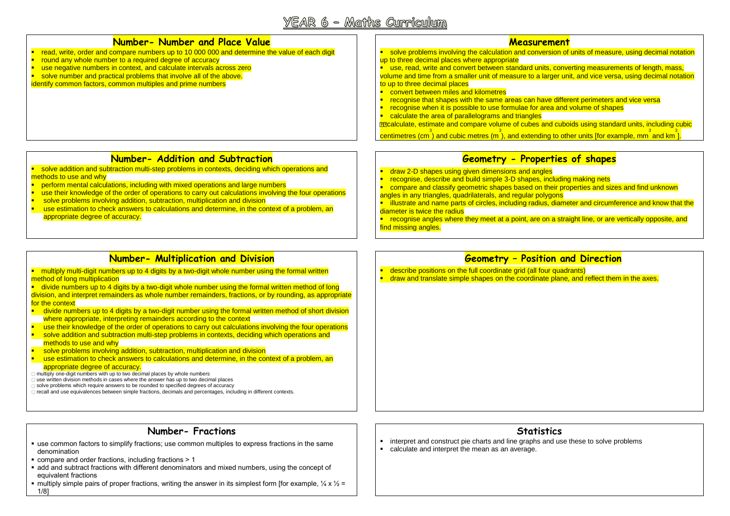## $YEAR$  6 - Matths Curriculum

| Number- Number and Place Value                                                                                                                                                                                                                                                                                                                                                                                                                                                                                                                                                                                                                                                                                                                                                                                                                                                                                                                                                                                                                                                                                                                                                                                                                                                                                                                                                                                                         | <b>Measurement</b>                                                                                                                                                                                                                                                                                                                                                                                                                                                                                                                                                                                                                                                                                                                                                                                                                                                                                                                           |
|----------------------------------------------------------------------------------------------------------------------------------------------------------------------------------------------------------------------------------------------------------------------------------------------------------------------------------------------------------------------------------------------------------------------------------------------------------------------------------------------------------------------------------------------------------------------------------------------------------------------------------------------------------------------------------------------------------------------------------------------------------------------------------------------------------------------------------------------------------------------------------------------------------------------------------------------------------------------------------------------------------------------------------------------------------------------------------------------------------------------------------------------------------------------------------------------------------------------------------------------------------------------------------------------------------------------------------------------------------------------------------------------------------------------------------------|----------------------------------------------------------------------------------------------------------------------------------------------------------------------------------------------------------------------------------------------------------------------------------------------------------------------------------------------------------------------------------------------------------------------------------------------------------------------------------------------------------------------------------------------------------------------------------------------------------------------------------------------------------------------------------------------------------------------------------------------------------------------------------------------------------------------------------------------------------------------------------------------------------------------------------------------|
| read, write, order and compare numbers up to 10 000 000 and determine the value of each digit<br>round any whole number to a required degree of accuracy<br>use negative numbers in context, and calculate intervals across zero<br>solve number and practical problems that involve all of the above.<br>identify common factors, common multiples and prime numbers                                                                                                                                                                                                                                                                                                                                                                                                                                                                                                                                                                                                                                                                                                                                                                                                                                                                                                                                                                                                                                                                  | solve problems involving the calculation and conversion of units of measure, using decimal notation<br>up to three decimal places where appropriate<br>" use, read, write and convert between standard units, converting measurements of length, mass,<br>volume and time from a smaller unit of measure to a larger unit, and vice versa, using decimal notation<br>to up to three decimal places<br>convert between miles and kilometres<br>recognise that shapes with the same areas can have different perimeters and vice versa<br>recognise when it is possible to use formulae for area and volume of shapes<br>calculate the area of parallelograms and triangles<br><b>MICalculate, estimate and compare volume of cubes and cuboids using standard units, including cubic</b><br>centimetres (cm <sup>3</sup> ) and cubic metres (m <sup>3</sup> ), and extending to other units [for example, mm <sup>3</sup> and km <sup>3</sup> |
| Number- Addition and Subtraction<br>• solve addition and subtraction multi-step problems in contexts, deciding which operations and<br>methods to use and why<br>perform mental calculations, including with mixed operations and large numbers<br>use their knowledge of the order of operations to carry out calculations involving the four operations<br>solve problems involving addition, subtraction, multiplication and division<br>use estimation to check answers to calculations and determine, in the context of a problem, an<br>appropriate degree of accuracy.                                                                                                                                                                                                                                                                                                                                                                                                                                                                                                                                                                                                                                                                                                                                                                                                                                                          | <b>Geometry - Properties of shapes</b><br>draw 2-D shapes using given dimensions and angles<br>recognise, describe and build simple 3-D shapes, including making nets<br>compare and classify geometric shapes based on their properties and sizes and find unknown<br>angles in any triangles, quadrilaterals, and regular polygons<br>illustrate and name parts of circles, including radius, diameter and circumference and know that the<br>diameter is twice the radius<br>" recognise angles where they meet at a point, are on a straight line, or are vertically opposite, and<br>find missing angles.                                                                                                                                                                                                                                                                                                                               |
| Number- Multiplication and Division<br>• multiply multi-digit numbers up to 4 digits by a two-digit whole number using the formal written<br>method of long multiplication<br>divide numbers up to 4 digits by a two-digit whole number using the formal written method of long<br>division, and interpret remainders as whole number remainders, fractions, or by rounding, as appropriate<br>for the context<br>divide numbers up to 4 digits by a two-digit number using the formal written method of short division<br>where appropriate, interpreting remainders according to the context<br>use their knowledge of the order of operations to carry out calculations involving the four operations<br>solve addition and subtraction multi-step problems in contexts, deciding which operations and<br>methods to use and why<br>solve problems involving addition, subtraction, multiplication and division<br>use estimation to check answers to calculations and determine, in the context of a problem, an<br>appropriate degree of accuracy.<br>multiply one-digit numbers with up to two decimal places by whole numbers<br>use written division methods in cases where the answer has up to two decimal places<br>solve problems which require answers to be rounded to specified degrees of accuracy<br>recall and use equivalences between simple fractions, decimals and percentages, including in different contexts. | <b>Geometry - Position and Direction</b><br>describe positions on the full coordinate grid (all four quadrants)<br>draw and translate simple shapes on the coordinate plane, and reflect them in the axes.                                                                                                                                                                                                                                                                                                                                                                                                                                                                                                                                                                                                                                                                                                                                   |
| <b>Number- Fractions</b>                                                                                                                                                                                                                                                                                                                                                                                                                                                                                                                                                                                                                                                                                                                                                                                                                                                                                                                                                                                                                                                                                                                                                                                                                                                                                                                                                                                                               | <b>Statistics</b>                                                                                                                                                                                                                                                                                                                                                                                                                                                                                                                                                                                                                                                                                                                                                                                                                                                                                                                            |

**interpret and construct pie charts and line graphs and use these to solve problems** 

**EXE** calculate and interpret the mean as an average.

- use common factors to simplify fractions; use common multiples to express fractions in the same denomination
- compare and order fractions, including fractions > 1
- **add and subtract fractions with different denominators and mixed numbers, using the concept of** equivalent fractions
- multiply simple pairs of proper fractions, writing the answer in its simplest form [for example,  $\frac{1}{4} \times \frac{1}{2} =$ 1/8]